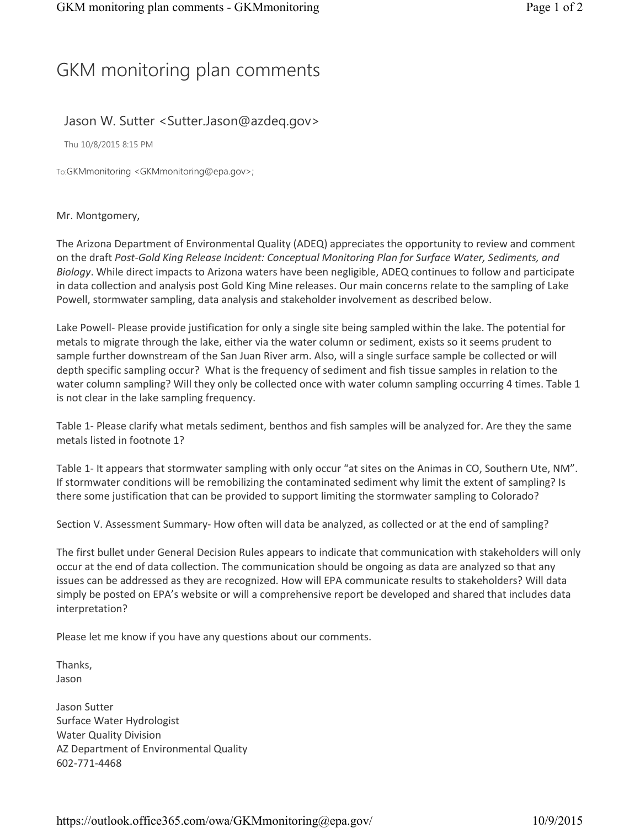## GKM monitoring plan comments

## Jason W. Sutter <Sutter.Jason@azdeq.gov>

Thu 10/8/2015 8:15 PM

To:GKMmonitoring <GKMmonitoring@epa.gov>;

## Mr. Montgomery,

 The Arizona Department of Environmental Quality (ADEQ) appreciates the opportunity to review and comment on the draft Post-Gold King Release Incident: Conceptual Monitoring Plan for Surface Water, Sediments, and Biology. While direct impacts to Arizona waters have been negligible, ADEQ continues to follow and participate in data collection and analysis post Gold King Mine releases. Our main concerns relate to the sampling of Lake Powell, stormwater sampling, data analysis and stakeholder involvement as described below.

Lake Powell- Please provide justification for only a single site being sampled within the lake. The potential for metals to migrate through the lake, either via the water column or sediment, exists so it seems prudent to sample further downstream of the San Juan River arm. Also, will a single surface sample be collected or will depth specific sampling occur? What is the frequency of sediment and fish tissue samples in relation to the water column sampling? Will they only be collected once with water column sampling occurring 4 times. Table 1 is not clear in the lake sampling frequency.

Table 1- Please clarify what metals sediment, benthos and fish samples will be analyzed for. Are they the same metals listed in footnote 1?

Table 1- It appears that stormwater sampling with only occur "at sites on the Animas in CO, Southern Ute, NM". If stormwater conditions will be remobilizing the contaminated sediment why limit the extent of sampling? Is there some justification that can be provided to support limiting the stormwater sampling to Colorado?

Section V. Assessment Summary- How often will data be analyzed, as collected or at the end of sampling?

 The first bullet under General Decision Rules appears to indicate that communication with stakeholders will only occur at the end of data collection. The communication should be ongoing as data are analyzed so that any issues can be addressed as they are recognized. How will EPA communicate results to stakeholders? Will data simply be posted on EPA's website or will a comprehensive report be developed and shared that includes data interpretation?

Please let me know if you have any questions about our comments.

Thanks, Jason

 Surface Water Hydrologist Water Quality Division AZ Department of Environmental Quality Jason Sutter 602-771-4468